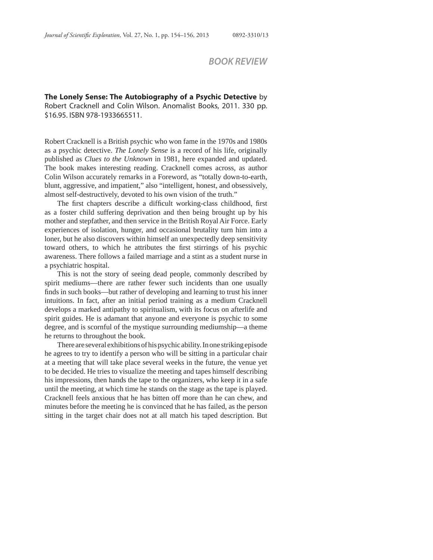## *BOOK REVIEW*

**The Lonely Sense: The Autobiography of a Psychic Detective** by Robert Cracknell and Colin Wilson. Anomalist Books, 2011. 330 pp. \$16.95. ISBN 978-1933665511.

Robert Cracknell is a British psychic who won fame in the 1970s and 1980s as a psychic detective. *The Lonely Sense* is a record of his life, originally published as *Clues to the Unknown* in 1981, here expanded and updated. The book makes interesting reading. Cracknell comes across, as author Colin Wilson accurately remarks in a Foreword, as "totally down-to-earth, blunt, aggressive, and impatient," also "intelligent, honest, and obsessively, almost self-destructively, devoted to his own vision of the truth."

The first chapters describe a difficult working-class childhood, first as a foster child suffering deprivation and then being brought up by his mother and stepfather, and then service in the British Royal Air Force. Early experiences of isolation, hunger, and occasional brutality turn him into a loner, but he also discovers within himself an unexpectedly deep sensitivity toward others, to which he attributes the first stirrings of his psychic awareness. There follows a failed marriage and a stint as a student nurse in a psychiatric hospital.

This is not the story of seeing dead people, commonly described by spirit mediums—there are rather fewer such incidents than one usually finds in such books—but rather of developing and learning to trust his inner intuitions. In fact, after an initial period training as a medium Cracknell develops a marked antipathy to spiritualism, with its focus on afterlife and spirit guides. He is adamant that anyone and everyone is psychic to some degree, and is scornful of the mystique surrounding mediumship—a theme he returns to throughout the book.

There are several exhibitions of his psychic ability. In one striking episode he agrees to try to identify a person who will be sitting in a particular chair at a meeting that will take place several weeks in the future, the venue yet to be decided. He tries to visualize the meeting and tapes himself describing his impressions, then hands the tape to the organizers, who keep it in a safe until the meeting, at which time he stands on the stage as the tape is played. Cracknell feels anxious that he has bitten off more than he can chew, and minutes before the meeting he is convinced that he has failed, as the person sitting in the target chair does not at all match his taped description. But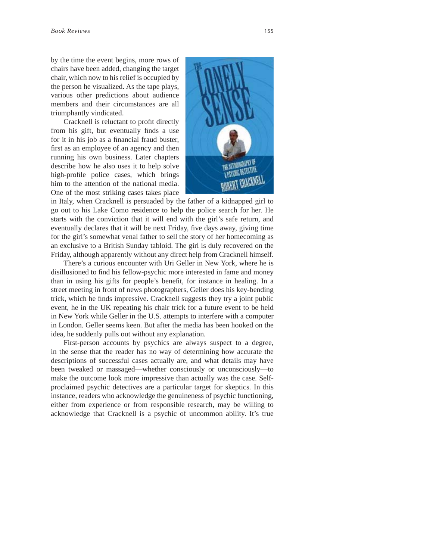by the time the event begins, more rows of chairs have been added, changing the target chair, which now to his relief is occupied by the person he visualized. As the tape plays, various other predictions about audience members and their circumstances are all triumphantly vindicated.

Cracknell is reluctant to profit directly from his gift, but eventually finds a use for it in his job as a financial fraud buster, first as an employee of an agency and then running his own business. Later chapters describe how he also uses it to help solve high-profile police cases, which brings him to the attention of the national media. One of the most striking cases takes place



in Italy, when Cracknell is persuaded by the father of a kidnapped girl to go out to his Lake Como residence to help the police search for her. He starts with the conviction that it will end with the girl's safe return, and eventually declares that it will be next Friday, five days away, giving time for the girl's somewhat venal father to sell the story of her homecoming as an exclusive to a British Sunday tabloid. The girl is duly recovered on the Friday, although apparently without any direct help from Cracknell himself.

There's a curious encounter with Uri Geller in New York, where he is disillusioned to find his fellow-psychic more interested in fame and money than in using his gifts for people's benefit, for instance in healing. In a street meeting in front of news photographers, Geller does his key-bending trick, which he finds impressive. Cracknell suggests they try a joint public event, he in the UK repeating his chair trick for a future event to be held in New York while Geller in the U.S. attempts to interfere with a computer in London. Geller seems keen. But after the media has been hooked on the idea, he suddenly pulls out without any explanation.

First-person accounts by psychics are always suspect to a degree, in the sense that the reader has no way of determining how accurate the descriptions of successful cases actually are, and what details may have been tweaked or massaged—whether consciously or unconsciously—to make the outcome look more impressive than actually was the case. Selfproclaimed psychic detectives are a particular target for skeptics. In this instance, readers who acknowledge the genuineness of psychic functioning, either from experience or from responsible research, may be willing to acknowledge that Cracknell is a psychic of uncommon ability. It's true